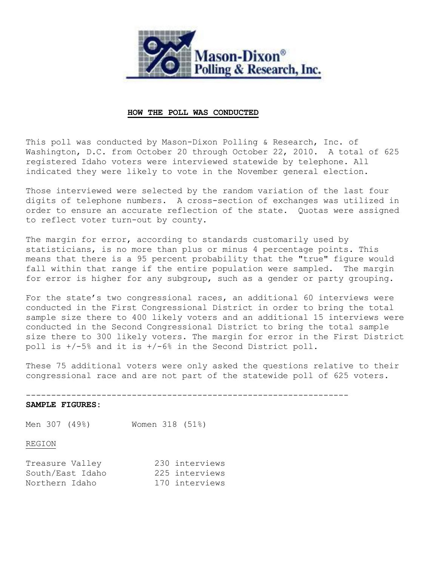

### **HOW THE POLL WAS CONDUCTED**

This poll was conducted by Mason-Dixon Polling & Research, Inc. of Washington, D.C. from October 20 through October 22, 2010. A total of 625 registered Idaho voters were interviewed statewide by telephone. All indicated they were likely to vote in the November general election.

Those interviewed were selected by the random variation of the last four digits of telephone numbers. A cross-section of exchanges was utilized in order to ensure an accurate reflection of the state. Quotas were assigned to reflect voter turn-out by county.

The margin for error, according to standards customarily used by statisticians, is no more than plus or minus 4 percentage points. This means that there is a 95 percent probability that the "true" figure would fall within that range if the entire population were sampled. The margin for error is higher for any subgroup, such as a gender or party grouping.

For the state's two congressional races, an additional 60 interviews were conducted in the First Congressional District in order to bring the total sample size there to 400 likely voters and an additional 15 interviews were conducted in the Second Congressional District to bring the total sample size there to 300 likely voters. The margin for error in the First District poll is +/-5% and it is +/-6% in the Second District poll.

These 75 additional voters were only asked the questions relative to their congressional race and are not part of the statewide poll of 625 voters.

----------------------------------------------------------------

### **SAMPLE FIGURES:**

Men 307 (49%) Women 318 (51%)

## REGION

| Treasure Valley  | 230 interviews |
|------------------|----------------|
| South/East Idaho | 225 interviews |
| Northern Idaho   | 170 interviews |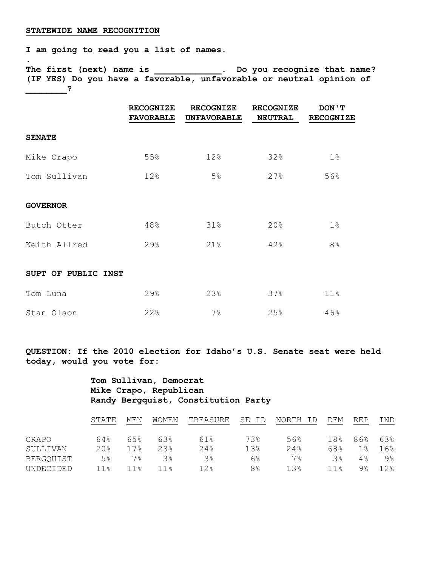#### **STATEWIDE NAME RECOGNITION**

**.** 

**I am going to read you a list of names.**

**The first (next) name is \_\_\_\_\_\_\_\_\_\_\_\_\_. Do you recognize that name? (IF YES) Do you have a favorable, unfavorable or neutral opinion of \_\_\_\_\_\_\_\_?**

|                     | <b>RECOGNIZE</b><br><b>FAVORABLE</b> | <b>RECOGNIZE</b><br><b>UNFAVORABLE</b> | <b>RECOGNIZE</b><br><b>NEUTRAL</b> | DON ' T<br><b>RECOGNIZE</b> |
|---------------------|--------------------------------------|----------------------------------------|------------------------------------|-----------------------------|
| <b>SENATE</b>       |                                      |                                        |                                    |                             |
| Mike Crapo          | 55%                                  | 12%                                    | 32%                                | 1%                          |
| Tom Sullivan        | 12%                                  | 5 <sup>°</sup>                         | 27%                                | 56%                         |
| <b>GOVERNOR</b>     |                                      |                                        |                                    |                             |
| Butch Otter         | 48%                                  | 31%                                    | 20%                                | $1\%$                       |
| Keith Allred        | 29%                                  | 21%                                    | 42%                                | 8 <sup>°</sup>              |
| SUPT OF PUBLIC INST |                                      |                                        |                                    |                             |
| Tom Luna            | 29%                                  | 23%                                    | 37%                                | 11%                         |
| Stan Olson          | 22%                                  | $7\%$                                  | 25%                                | 46%                         |

**QUESTION: If the 2010 election for Idaho's U.S. Senate seat were held today, would you vote for:** 

> **Tom Sullivan, Democrat Mike Crapo, Republican Randy Bergquist, Constitution Party**

|           | STATE           | MEN             | WOMEN           | TREASURE        | SE<br>ID       | NORTH | DEM             | REP           | IND   |
|-----------|-----------------|-----------------|-----------------|-----------------|----------------|-------|-----------------|---------------|-------|
| CRAPO     | 64%             | 65%             | 63%             | 61%             | 73%            | 56%   | 18 <sub>8</sub> | 86%           | 63%   |
| SULLIVAN  | 20%             | 17.8            | 2.3%            | 2.4%            | 13%            | 2.4%  | 68%             | $1$ $\approx$ | 16%   |
| BERGQUIST | 5 <sup>°</sup>  | 7%              | $3$ $\approx$   | $3\,$           | $6\%$          | 7%    | 3%              | 4%            | $9\%$ |
| UNDECIDED | 11 <sub>8</sub> | 11 <sup>8</sup> | 11 <sup>°</sup> | 12 <sub>8</sub> | 8 <sup>°</sup> | 1.3%  | 11 <sup>8</sup> | $9$ $\approx$ | 12%   |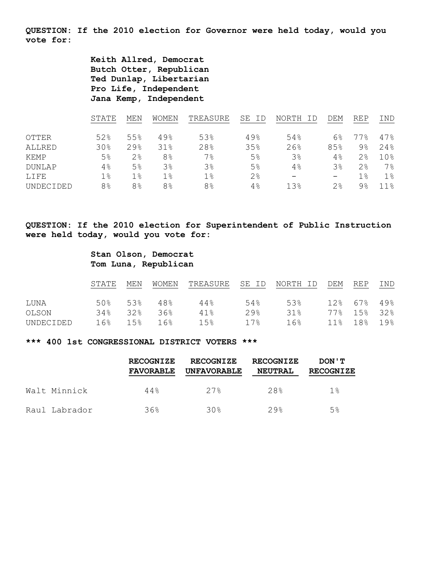**QUESTION: If the 2010 election for Governor were held today, would you vote for:**

> **Keith Allred, Democrat Butch Otter, Republican Ted Dunlap, Libertarian Pro Life, Independent Jana Kemp, Independent**

|               | STATE          | MEN            | WOMEN          | TREASURE       | SE<br>ID       | NORTH<br>ΤD              | DEM             | <b>REP</b> | IND   |
|---------------|----------------|----------------|----------------|----------------|----------------|--------------------------|-----------------|------------|-------|
| <b>OTTER</b>  | 52%            | 55%            | 49%            | 53%            | 49%            | 54%                      | 6%              | 77.8       | 47%   |
| ALLRED        | 30%            | 29%            | 31%            | 28%            | 35%            | 26%                      | 85%             | 9%         | 24%   |
| KEMP          | 5%             | 2 <sup>°</sup> | 8 <sup>°</sup> | 7 <sup>°</sup> | 5%             | 3%                       | $4\%$           | 2%         | 10%   |
| <b>DUNLAP</b> | $4\%$          | 5%             | 3%             | 3%             | 5 <sup>°</sup> | 4%                       | 38              | 2%         | $7\%$ |
| LIFE          | $1\,$          | $1\%$          | $1\%$          | $1\%$          | 2%             | $\overline{\phantom{0}}$ | $\qquad \qquad$ | $1\,$      | $1\%$ |
| UNDECIDED     | 8 <sup>°</sup> | 8%             | 8 <sup>°</sup> | 8%             | 4%             | 13%                      | 2%              | 9%         | 11 응  |

**QUESTION: If the 2010 election for Superintendent of Public Instruction were held today, would you vote for:**

# **Stan Olson, Democrat Tom Luna, Republican**

|           | STATE MEN | WOMEN          |                   |     | TREASURE SE ID NORTH ID DEM REP |             |             | IND |
|-----------|-----------|----------------|-------------------|-----|---------------------------------|-------------|-------------|-----|
| LUNA      |           | $50\%$ 53% 48% | 44%               | 54응 | 53%                             |             | 12% 67% 49% |     |
| OLSON     |           | 34% 32% 36%    | 41%               | 29% | 31%                             | 77% 15% 32% |             |     |
| UNDECIDED |           | 16% 15% 16%    | $15$ <sup>2</sup> |     | $17\%$ 16%                      | 11% 18% 19% |             |     |

## **\*\*\* 400 1st CONGRESSIONAL DISTRICT VOTERS \*\*\***

|               | <b>RECOGNIZE</b><br><b>FAVORABLE</b> | <b>RECOGNIZE</b><br><b>UNFAVORABLE</b> | <b>RECOGNIZE</b><br><b>NEUTRAL</b> | DON ' T<br><b>RECOGNIZE</b> |
|---------------|--------------------------------------|----------------------------------------|------------------------------------|-----------------------------|
| Walt Minnick  | 44%                                  | 27%                                    | 28%                                | 1%                          |
| Raul Labrador | 36%                                  | 30%                                    | 29%                                | 5%                          |